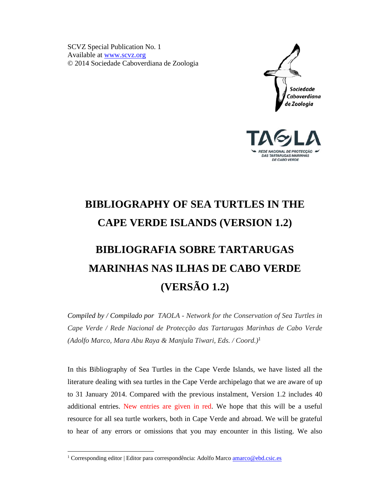SCVZ Special Publication No. 1 Available at www.scvz.org © 2014 Sociedade Caboverdiana de Zoologia





## **BIBLIOGRAPHY OF SEA TURTLES IN THE CAPE VERDE ISLANDS (VERSION 1.2)**

# **BIBLIOGRAFIA SOBRE TARTARUGAS MARINHAS NAS ILHAS DE CABO VERDE (VERSÃO 1.2)**

*Compiled by / Compilado por TAOLA - Network for the Conservation of Sea Turtles in Cape Verde / Rede Nacional de Protecção das Tartarugas Marinhas de Cabo Verde (Adolfo Marco, Mara Abu Raya & Manjula Tiwari, Eds. / Coord.)*<sup>1</sup>

In this Bibliography of Sea Turtles in the Cape Verde Islands, we have listed all the literature dealing with sea turtles in the Cape Verde archipelago that we are aware of up to 31 January 2014. Compared with the previous instalment, Version 1.2 includes 40 additional entries. New entries are given in red. We hope that this will be a useful resource for all sea turtle workers, both in Cape Verde and abroad. We will be grateful to hear of any errors or omissions that you may encounter in this listing. We also

-

<sup>&</sup>lt;sup>1</sup> Corresponding editor | Editor para correspondência: Adolfo Marco **amarco@ebd.csic.es**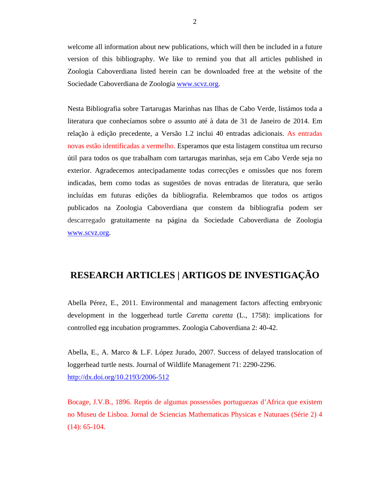welcome all information about new publications, which will then be included in a future version of this bibliography. We like to remind you that all articles published in Zoologia Caboverdiana listed herein can be downloaded free at the website of the Sociedade Caboverdiana de Zoologia www.scvz.org.

Nesta Bibliografia sobre Tartarugas Marinhas nas Ilhas de Cabo Verde, listámos toda a literatura que conhecíamos sobre o assunto até à data de 31 de Janeiro de 2014. Em relação à edição precedente, a Versão 1.2 inclui 40 entradas adicionais. As entradas novas estão identificadas a vermelho. Esperamos que esta listagem constitua um recurso útil para todos os que trabalham com tartarugas marinhas, seja em Cabo Verde seja no exterior. Agradecemos antecipadamente todas correcções e omissões que nos forem indicadas, bem como todas as sugestões de novas entradas de literatura, que serão incluídas em futuras edições da bibliografia. Relembramos que todos os artigos publicados na Zoologia Caboverdiana que constem da bibliografia podem ser descarregado gratuitamente na página da Sociedade Caboverdiana de Zoologia www.scvz.org.

### **RESEARCH ARTICLES | ARTIGOS DE INVESTIGAÇÃO**

Abella Pérez, E., 2011. Environmental and management factors affecting embryonic development in the loggerhead turtle *Caretta caretta* (L., 1758): implications for controlled egg incubation programmes. Zoologia Caboverdiana 2: 40-42.

Abella, E., A. Marco & L.F. López Jurado, 2007. Success of delayed translocation of loggerhead turtle nests. Journal of Wildlife Management 71: 2290-2296. http://dx.doi.org/10.2193/2006-512

Bocage, J.V.B., 1896. Reptis de algumas possessões portuguezas d'Africa que existem no Museu de Lisboa. Jornal de Sciencias Mathematicas Physicas e Naturaes (Série 2) 4 (14): 65-104.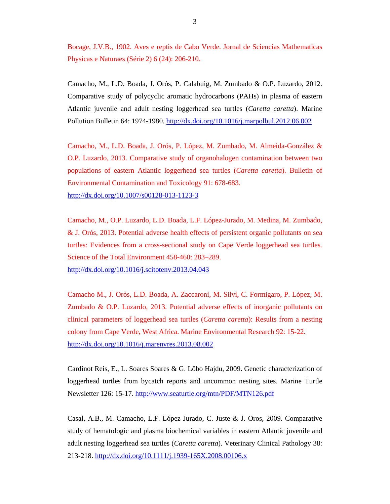Bocage, J.V.B., 1902. Aves e reptis de Cabo Verde. Jornal de Sciencias Mathematicas Physicas e Naturaes (Série 2) 6 (24): 206-210.

Camacho, M., L.D. Boada, J. Orós, P. Calabuig, M. Zumbado & O.P. Luzardo, 2012. Comparative study of polycyclic aromatic hydrocarbons (PAHs) in plasma of eastern Atlantic juvenile and adult nesting loggerhead sea turtles (*Caretta caretta*). Marine Pollution Bulletin 64: 1974-1980. http://dx.doi.org/10.1016/j.marpolbul.2012.06.002

Camacho, M., L.D. Boada, J. Orós, P. López, M. Zumbado, M. Almeida-González & O.P. Luzardo, 2013. Comparative study of organohalogen contamination between two populations of eastern Atlantic loggerhead sea turtles (*Caretta caretta*). Bulletin of Environmental Contamination and Toxicology 91: 678-683. http://dx.doi.org/10.1007/s00128-013-1123-3

Camacho, M., O.P. Luzardo, L.D. Boada, L.F. López-Jurado, M. Medina, M. Zumbado, & J. Orós, 2013. Potential adverse health effects of persistent organic pollutants on sea turtles: Evidences from a cross-sectional study on Cape Verde loggerhead sea turtles. Science of the Total Environment 458-460: 283–289.

http://dx.doi.org/10.1016/j.scitotenv.2013.04.043

Camacho M., J. Orós, L.D. Boada, A. Zaccaroni, M. Silvi, C. Formigaro, P. López, M. Zumbado & O.P. Luzardo, 2013. Potential adverse effects of inorganic pollutants on clinical parameters of loggerhead sea turtles (*Caretta caretta*): Results from a nesting colony from Cape Verde, West Africa. Marine Environmental Research 92: 15-22. http://dx.doi.org/10.1016/j.marenvres.2013.08.002

Cardinot Reis, E., L. Soares Soares & G. Lôbo Hajdu, 2009. Genetic characterization of loggerhead turtles from bycatch reports and uncommon nesting sites. Marine Turtle Newsletter 126: 15-17. http://www.seaturtle.org/mtn/PDF/MTN126.pdf

Casal, A.B., M. Camacho, L.F. López Jurado, C. Juste & J. Oros, 2009. Comparative study of hematologic and plasma biochemical variables in eastern Atlantic juvenile and adult nesting loggerhead sea turtles (*Caretta caretta*). Veterinary Clinical Pathology 38: 213-218. http://dx.doi.org/10.1111/j.1939-165X.2008.00106.x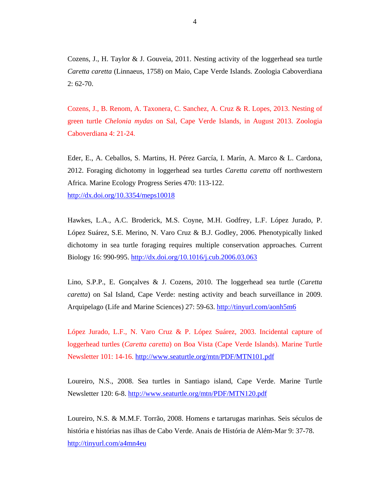Cozens, J., H. Taylor & J. Gouveia, 2011. Nesting activity of the loggerhead sea turtle *Caretta caretta* (Linnaeus, 1758) on Maio, Cape Verde Islands. Zoologia Caboverdiana 2: 62-70.

Cozens, J., B. Renom, A. Taxonera, C. Sanchez, A. Cruz & R. Lopes, 2013. Nesting of green turtle *Chelonia mydas* on Sal, Cape Verde Islands, in August 2013. Zoologia Caboverdiana 4: 21-24.

Eder, E., A. Ceballos, S. Martins, H. Pérez García, I. Marín, A. Marco & L. Cardona, 2012. Foraging dichotomy in loggerhead sea turtles *Caretta caretta* off northwestern Africa. Marine Ecology Progress Series 470: 113-122. http://dx.doi.org/10.3354/meps10018

Hawkes, L.A., A.C. Broderick, M.S. Coyne, M.H. Godfrey, L.F. López Jurado, P. López Suárez, S.E. Merino, N. Varo Cruz & B.J. Godley, 2006. Phenotypically linked dichotomy in sea turtle foraging requires multiple conservation approaches*.* Current Biology 16: 990-995. http://dx.doi.org/10.1016/j.cub.2006.03.063

Lino, S.P.P., E. Gonçalves & J. Cozens, 2010. The loggerhead sea turtle (*Caretta caretta*) on Sal Island, Cape Verde: nesting activity and beach surveillance in 2009. Arquipelago (Life and Marine Sciences) 27: 59-63. http://tinyurl.com/aonh5m6

López Jurado, L.F., N. Varo Cruz & P. López Suárez, 2003. Incidental capture of loggerhead turtles (*Caretta caretta*) on Boa Vista (Cape Verde Islands). Marine Turtle Newsletter 101: 14-16. http://www.seaturtle.org/mtn/PDF/MTN101.pdf

Loureiro, N.S., 2008. Sea turtles in Santiago island, Cape Verde. Marine Turtle Newsletter 120: 6-8. http://www.seaturtle.org/mtn/PDF/MTN120.pdf

Loureiro, N.S. & M.M.F. Torrão, 2008. Homens e tartarugas marinhas. Seis séculos de história e histórias nas ilhas de Cabo Verde. Anais de História de Além-Mar 9: 37-78. http://tinyurl.com/a4mn4eu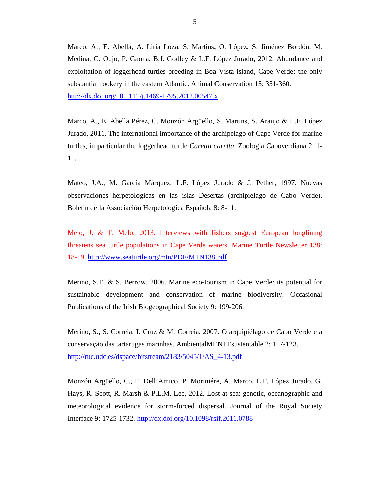Marco, A., E. Abella, A. Liria Loza, S. Martins, O. López, S. Jiménez Bordón, M. Medina, C. Oujo, P. Gaona, B.J. Godley & L.F. López Jurado, 2012. Abundance and exploitation of loggerhead turtles breeding in Boa Vista island, Cape Verde: the only substantial rookery in the eastern Atlantic. Animal Conservation 15: 351-360. http://dx.doi.org/10.1111/j.1469-1795.2012.00547.x

Marco, A., E. Abella Pérez, C. Monzón Argüello, S. Martins, S. Araujo & L.F. López Jurado, 2011. The international importance of the archipelago of Cape Verde for marine turtles, in particular the loggerhead turtle *Caretta caretta*. Zoologia Caboverdiana 2: 1- 11.

Mateo, J.A., M. García Márquez, L.F. López Jurado & J. Pether, 1997. Nuevas observaciones herpetologicas en las islas Desertas (archipielago de Cabo Verde). Boletin de la Associación Herpetologica Española 8: 8-11.

Melo, J. & T. Melo, 2013. Interviews with fishers suggest European longlining threatens sea turtle populations in Cape Verde waters. Marine Turtle Newsletter 138: 18-19. http://www.seaturtle.org/mtn/PDF/MTN138.pdf

Merino, S.E. & S. Berrow, 2006. Marine eco-tourism in Cape Verde: its potential for sustainable development and conservation of marine biodiversity. Occasional Publications of the Irish Biogeographical Society 9: 199-206.

Merino, S., S. Correia, I. Cruz & M. Correia, 2007. O arquipiélago de Cabo Verde e a conservação das tartarugas marinhas. AmbientalMENTEsustentable 2: 117-123. http://ruc.udc.es/dspace/bitstream/2183/5045/1/AS\_4-13.pdf

Monzón Argüello, C., F. Dell'Amico, P. Moriniére, A. Marco, L.F. López Jurado, G. Hays, R. Scott, R. Marsh & P.L.M. Lee, 2012. Lost at sea: genetic, oceanographic and meteorological evidence for storm-forced dispersal. Journal of the Royal Society Interface 9: 1725-1732. http://dx.doi.org/10.1098/rsif.2011.0788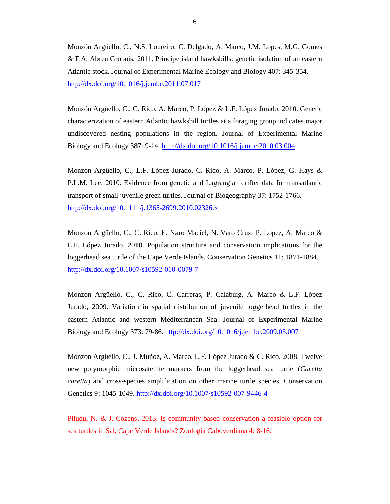Monzón Argüello, C., N.S. Loureiro, C. Delgado, A. Marco, J.M. Lopes, M.G. Gomes & F.A. Abreu Grobois, 2011. Príncipe island hawksbills: genetic isolation of an eastern Atlantic stock. Journal of Experimental Marine Ecology and Biology 407: 345-354. http://dx.doi.org/10.1016/j.jembe.2011.07.017

Monzón Argüello, C., C. Rico, A. Marco, P. López & L.F. López Jurado, 2010. Genetic characterization of eastern Atlantic hawksbill turtles at a foraging group indicates major undiscovered nesting populations in the region. Journal of Experimental Marine Biology and Ecology 387: 9-14. http://dx.doi.org/10.1016/j.jembe.2010.03.004

Monzón Argüello, C., L.F. López Jurado, C. Rico, A. Marco, P. López, G. Hays & P.L.M. Lee, 2010. Evidence from genetic and Lagrangian drifter data for transatlantic transport of small juvenile green turtles. Journal of Biogeography 37: 1752-1766. http://dx.doi.org/10.1111/j.1365-2699.2010.02326.x

Monzón Argüello, C., C. Rico, E. Naro Maciel, N. Varo Cruz, P. López, A. Marco & L.F. López Jurado, 2010. Population structure and conservation implications for the loggerhead sea turtle of the Cape Verde Islands. Conservation Genetics 11: 1871-1884. http://dx.doi.org/10.1007/s10592-010-0079-7

Monzón Argüello, C., C. Rico, C. Carreras, P. Calabuig, A. Marco & L.F. López Jurado, 2009. Variation in spatial distribution of juvenile loggerhead turtles in the eastern Atlantic and western Mediterranean Sea. Journal of Experimental Marine Biology and Ecology 373: 79-86. http://dx.doi.org/10.1016/j.jembe.2009.03.007

Monzón Argüello, C., J. Muñoz, A. Marco, L.F. López Jurado & C. Rico, 2008. Twelve new polymorphic microsatellite markers from the loggerhead sea turtle (*Caretta caretta*) and cross-species amplification on other marine turtle species. Conservation Genetics 9: 1045-1049. http://dx.doi.org/10.1007/s10592-007-9446-4

Piludu, N. & J. Cozens, 2013. Is community-based conservation a feasible option for sea turtles in Sal, Cape Verde Islands? Zoologia Caboverdiana 4: 8-16.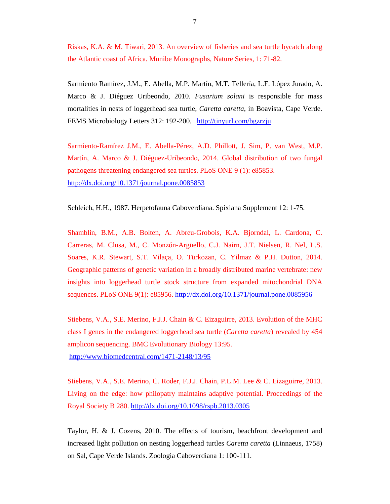Riskas, K.A. & M. Tiwari, 2013. An overview of fisheries and sea turtle bycatch along the Atlantic coast of Africa. Munibe Monographs, Nature Series, 1: 71-82.

Sarmiento Ramírez, J.M., E. Abella, M.P. Martín, M.T. Tellería, L.F. López Jurado, A. Marco & J. Diéguez Uribeondo, 2010. *Fusarium solani* is responsible for mass mortalities in nests of loggerhead sea turtle, *Caretta caretta*, in Boavista, Cape Verde. FEMS Microbiology Letters 312: 192-200. http://tinyurl.com/bgzrzju

Sarmiento-Ramírez J.M., E. Abella-Pérez, A.D. Phillott, J. Sim, P. van West, M.P. Martín, A. Marco & J. Diéguez-Uribeondo, 2014. Global distribution of two fungal pathogens threatening endangered sea turtles. PLoS ONE 9 (1): e85853. http://dx.doi.org/10.1371/journal.pone.0085853

Schleich, H.H., 1987. Herpetofauna Caboverdiana. Spixiana Supplement 12: 1-75.

Shamblin, B.M., A.B. Bolten, A. Abreu-Grobois, K.A. Bjorndal, L. Cardona, C. Carreras, M. Clusa, M., C. Monzón-Argüello, C.J. Nairn, J.T. Nielsen, R. Nel, L.S. Soares, K.R. Stewart, S.T. Vilaça, O. Türkozan, C. Yilmaz & P.H. Dutton, 2014. Geographic patterns of genetic variation in a broadly distributed marine vertebrate: new insights into loggerhead turtle stock structure from expanded mitochondrial DNA sequences. PLoS ONE 9(1): e85956. http://dx.doi.org/10.1371/journal.pone.0085956

Stiebens, V.A., S.E. Merino, F.J.J. Chain & C. Eizaguirre, 2013. Evolution of the MHC class I genes in the endangered loggerhead sea turtle (*Caretta caretta*) revealed by 454 amplicon sequencing. BMC Evolutionary Biology 13:95. http://www.biomedcentral.com/1471-2148/13/95

Stiebens, V.A., S.E. Merino, C. Roder, F.J.J. Chain, P.L.M. Lee & C. Eizaguirre, 2013. Living on the edge: how philopatry maintains adaptive potential. Proceedings of the Royal Society B 280. http://dx.doi.org/10.1098/rspb.2013.0305

Taylor, H. & J. Cozens, 2010. The effects of tourism, beachfront development and increased light pollution on nesting loggerhead turtles *Caretta caretta* (Linnaeus, 1758) on Sal, Cape Verde Islands. Zoologia Caboverdiana 1: 100-111.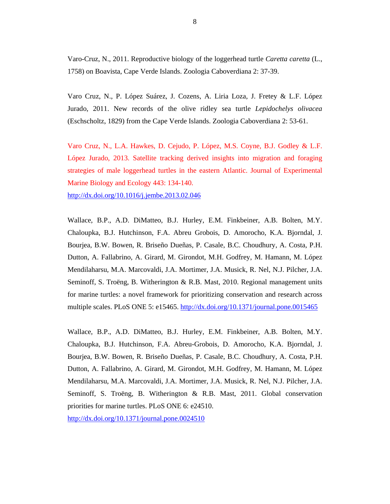Varo-Cruz, N., 2011. Reproductive biology of the loggerhead turtle *Caretta caretta* (L., 1758) on Boavista, Cape Verde Islands. Zoologia Caboverdiana 2: 37-39.

Varo Cruz, N., P. López Suárez, J. Cozens, A. Liria Loza, J. Fretey & L.F. López Jurado, 2011. New records of the olive ridley sea turtle *Lepidochelys olivacea* (Eschscholtz, 1829) from the Cape Verde Islands. Zoologia Caboverdiana 2: 53-61.

Varo Cruz, N., L.A. Hawkes, D. Cejudo, P. López, M.S. Coyne, B.J. Godley & L.F. López Jurado, 2013. Satellite tracking derived insights into migration and foraging strategies of male loggerhead turtles in the eastern Atlantic. Journal of Experimental Marine Biology and Ecology 443: 134-140.

http://dx.doi.org/10.1016/j.jembe.2013.02.046

Wallace, B.P., A.D. DiMatteo, B.J. Hurley, E.M. Finkbeiner, A.B. Bolten, M.Y. Chaloupka, B.J. Hutchinson, F.A. Abreu Grobois, D. Amorocho, K.A. Bjorndal, J. Bourjea, B.W. Bowen, R. Briseño Dueñas, P. Casale, B.C. Choudhury, A. Costa, P.H. Dutton, A. Fallabrino, A. Girard, M. Girondot, M.H. Godfrey, M. Hamann, M. López Mendilaharsu, M.A. Marcovaldi, J.A. Mortimer, J.A. Musick, R. Nel, N.J. Pilcher, J.A. Seminoff, S. Troëng, B. Witherington & R.B. Mast, 2010. Regional management units for marine turtles: a novel framework for prioritizing conservation and research across multiple scales. PLoS ONE 5: e15465. http://dx.doi.org/10.1371/journal.pone.0015465

Wallace, B.P., A.D. DiMatteo, B.J. Hurley, E.M. Finkbeiner, A.B. Bolten, M.Y. Chaloupka, B.J. Hutchinson, F.A. Abreu-Grobois, D. Amorocho, K.A. Bjorndal, J. Bourjea, B.W. Bowen, R. Briseño Dueñas, P. Casale, B.C. Choudhury, A. Costa, P.H. Dutton, A. Fallabrino, A. Girard, M. Girondot, M.H. Godfrey, M. Hamann, M. López Mendilaharsu, M.A. Marcovaldi, J.A. Mortimer, J.A. Musick, R. Nel, N.J. Pilcher, J.A. Seminoff, S. Troëng, B. Witherington & R.B. Mast, 2011. Global conservation priorities for marine turtles. PLoS ONE 6: e24510.

http://dx.doi.org/10.1371/journal.pone.0024510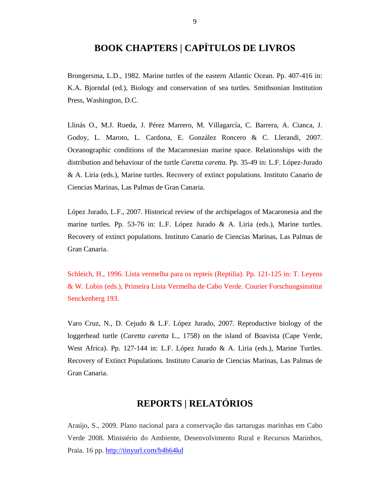### **BOOK CHAPTERS | CAPÍTULOS DE LIVROS**

Brongersma, L.D., 1982. Marine turtles of the eastern Atlantic Ocean. Pp. 407-416 in: K.A. Bjorndal (ed.), Biology and conservation of sea turtles. Smithsonian Institution Press, Washington, D.C.

Llinás O., M.J. Rueda, J. Pérez Marrero, M. Villagarcía, C. Barrera, A. Cianca, J. Godoy, L. Maroto, L. Cardona, E. González Roncero & C. Llerandi, 2007. Oceanographic conditions of the Macaronesian marine space. Relationships with the distribution and behaviour of the turtle *Caretta caretta.* Pp. 35-49 in: L.F. López-Jurado & A. Liria (eds.), Marine turtles. Recovery of extinct populations. Instituto Canario de Ciencias Marinas, Las Palmas de Gran Canaria.

López Jurado, L.F., 2007. Historical review of the archipelagos of Macaronesia and the marine turtles. Pp. 53-76 in: L.F. López Jurado & A. Liria (eds.), Marine turtles. Recovery of extinct populations. Instituto Canario de Ciencias Marinas, Las Palmas de Gran Canaria.

Schleich, H., 1996. Lista vermelha para os repteis (Reptilia). Pp. 121-125 in: T. Leyens & W. Lobin (eds.), Primeira Lista Vermelha de Cabo Verde. Courier Forschungsinstitut Senckenberg 193.

Varo Cruz, N., D. Cejudo & L.F. López Jurado, 2007. Reproductive biology of the loggerhead turtle (*Caretta caretta* L., 1758) on the island of Boavista (Cape Verde, West Africa). Pp. 127-144 in: L.F. López Jurado & A. Liria (eds.), Marine Turtles. Recovery of Extinct Populations*.* Instituto Canario de Ciencias Marinas, Las Palmas de Gran Canaria.

## **REPORTS | RELATÓRIOS**

Araújo, S., 2009. Plano nacional para a conservação das tartarugas marinhas em Cabo Verde 2008. Ministério do Ambiente, Desenvolvimento Rural e Recursos Marinhos, Praia. 16 pp. http://tinyurl.com/b4h64kd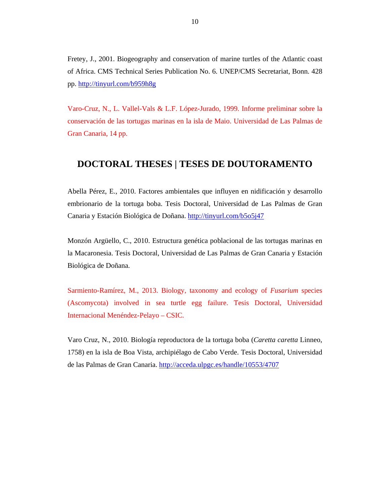Fretey, J., 2001. Biogeography and conservation of marine turtles of the Atlantic coast of Africa. CMS Technical Series Publication No. 6. UNEP/CMS Secretariat, Bonn. 428 pp. http://tinyurl.com/b959h8g

Varo-Cruz, N., L. Vallel-Vals & L.F. López-Jurado, 1999. Informe preliminar sobre la conservación de las tortugas marinas en la isla de Maio. Universidad de Las Palmas de Gran Canaria, 14 pp.

#### **DOCTORAL THESES | TESES DE DOUTORAMENTO**

Abella Pérez, E., 2010. Factores ambientales que influyen en nidificación y desarrollo embrionario de la tortuga boba. Tesis Doctoral, Universidad de Las Palmas de Gran Canaria y Estación Biológica de Doñana. http://tinyurl.com/b5o5j47

Monzón Argüello, C., 2010. Estructura genética poblacional de las tortugas marinas en la Macaronesia. Tesis Doctoral, Universidad de Las Palmas de Gran Canaria y Estación Biológica de Doñana.

Sarmiento-Ramírez, M., 2013. Biology, taxonomy and ecology of *Fusarium* species (Ascomycota) involved in sea turtle egg failure. Tesis Doctoral, Universidad Internacional Menéndez-Pelayo – CSIC.

Varo Cruz, N., 2010. Biología reproductora de la tortuga boba (*Caretta caretta* Linneo, 1758) en la isla de Boa Vista, archipiélago de Cabo Verde. Tesis Doctoral, Universidad de las Palmas de Gran Canaria. http://acceda.ulpgc.es/handle/10553/4707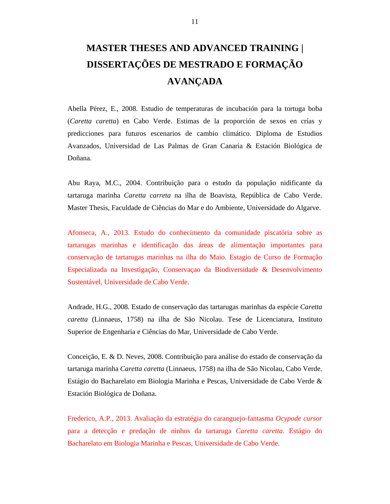## **MASTER THESES AND ADVANCED TRAINING | DISSERTAÇÕES DE MESTRADO E FORMAÇÃO AVANÇADA**

Abella Pérez, E., 2008. Estudio de temperaturas de incubación para la tortuga boba (*Caretta caretta*) en Cabo Verde. Estimas de la proporción de sexos en crías y predicciones para futuros escenarios de cambio climático. Diploma de Estudios Avanzados, Universidad de Las Palmas de Gran Canaria & Estación Biológica de Doñana.

Abu Raya, M.C., 2004. Contribuição para o estudo da população nidificante da tartaruga marinha *Caretta carreta* na ilha de Boavista, República de Cabo Verde. Master Thesis, Faculdade de Ciências do Mar e do Ambiente, Universidade do Algarve.

Afonseca, A., 2013. Estudo do conhecimento da comunidade piscatória sobre as tartarugas marinhas e identificação das áreas de alimentação importantes para conservação de tartarugas marinhas na ilha do Maio. Estagio de Curso de Formação Especializada na Investigação, Conservaçao da Biodiversidade & Desenvolvimento Sustentável, Universidade de Cabo Verde.

Andrade, H.G., 2008. Estado de conservação das tartarugas marinhas da espécie *Caretta caretta* (Linnaeus, 1758) na ilha de São Nicolau. Tese de Licenciatura, Instituto Superior de Engenharia e Ciências do Mar, Universidade de Cabo Verde.

Conceição, E. & D. Neves, 2008. Contribuição para análise do estado de conservação da tartaruga marinha *Caretta caretta* (Linnaeus, 1758) na ilha de São Nicolau, Cabo Verde. Estágio do Bacharelato em Biologia Marinha e Pescas, Universidade de Cabo Verde & Estación Biológica de Doñana.

Frederico, A.P., 2013. Avaliação da estratégia do caranguejo-fantasma *Ocypode cursor* para a detecção e predação de ninhos da tartaruga *Caretta caretta*. Estágio do Bacharelato em Biologia Marinha e Pescas, Universidade de Cabo Verde.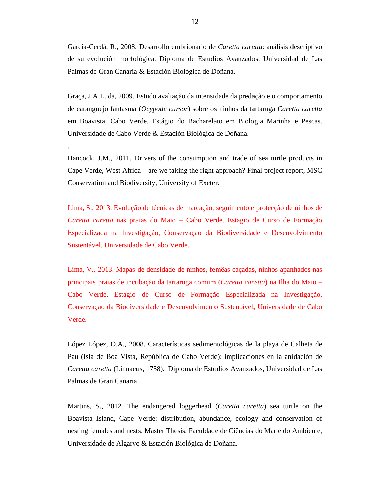García-Cerdá, R., 2008. Desarrollo embrionario de *Caretta caretta*: análisis descriptivo de su evolución morfológica. Diploma de Estudios Avanzados. Universidad de Las Palmas de Gran Canaria & Estación Biológica de Doñana.

Graça, J.A.L. da, 2009. Estudo avaliação da intensidade da predação e o comportamento de caranguejo fantasma (*Ocypode cursor*) sobre os ninhos da tartaruga *Caretta caretta* em Boavista, Cabo Verde. Estágio do Bacharelato em Biologia Marinha e Pescas. Universidade de Cabo Verde & Estación Biológica de Doñana.

Hancock, J.M., 2011. Drivers of the consumption and trade of sea turtle products in Cape Verde, West Africa – are we taking the right approach? Final project report, MSC Conservation and Biodiversity, University of Exeter.

.

Lima, S., 2013. Evolução de técnicas de marcação, seguimento e protecção de ninhos de *Caretta caretta* nas praias do Maio – Cabo Verde. Estagio de Curso de Formação Especializada na Investigação, Conservaçao da Biodiversidade e Desenvolvimento Sustentável, Universidade de Cabo Verde.

Lima, V., 2013. Mapas de densidade de ninhos, femêas caçadas, ninhos apanhados nas principais praias de incubação da tartaruga comum (*Caretta caretta*) na Ilha do Maio – Cabo Verde. Estagio de Curso de Formação Especializada na Investigação, Conservaçao da Biodiversidade e Desenvolvimento Sustentável, Universidade de Cabo Verde.

López López, O.A., 2008. Características sedimentológicas de la playa de Calheta de Pau (Isla de Boa Vista, República de Cabo Verde): implicaciones en la anidación de *Caretta caretta* (Linnaeus, 1758). Diploma de Estudios Avanzados, Universidad de Las Palmas de Gran Canaria.

Martins, S., 2012. The endangered loggerhead (*Caretta caretta*) sea turtle on the Boavista Island, Cape Verde: distribution, abundance, ecology and conservation of nesting females and nests. Master Thesis, Faculdade de Ciências do Mar e do Ambiente, Universidade de Algarve & Estación Biológica de Doñana.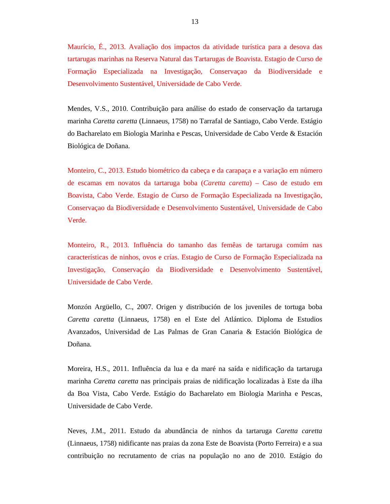Maurício, É., 2013. Avaliação dos impactos da atividade turística para a desova das tartarugas marinhas na Reserva Natural das Tartarugas de Boavista. Estagio de Curso de Formação Especializada na Investigação, Conservaçao da Biodiversidade e Desenvolvimento Sustentável, Universidade de Cabo Verde.

Mendes, V.S., 2010. Contribuição para análise do estado de conservação da tartaruga marinha *Caretta caretta* (Linnaeus, 1758) no Tarrafal de Santiago, Cabo Verde. Estágio do Bacharelato em Biologia Marinha e Pescas, Universidade de Cabo Verde & Estación Biológica de Doñana.

Monteiro, C., 2013. Estudo biométrico da cabeça e da carapaça e a variação em número de escamas em novatos da tartaruga boba (*Caretta caretta*) – Caso de estudo em Boavista, Cabo Verde. Estagio de Curso de Formação Especializada na Investigação, Conservaçao da Biodiversidade e Desenvolvimento Sustentável, Universidade de Cabo Verde.

Monteiro, R., 2013. Influência do tamanho das femêas de tartaruga comúm nas características de ninhos, ovos e crías. Estagio de Curso de Formação Especializada na Investigação, Conservaçáo da Biodiversidade e Desenvolvimento Sustentável, Universidade de Cabo Verde.

Monzón Argüello, C., 2007. Origen y distribución de los juveniles de tortuga boba *Caretta caretta* (Linnaeus, 1758) en el Este del Atlántico. Diploma de Estudios Avanzados, Universidad de Las Palmas de Gran Canaria & Estación Biológica de Doñana.

Moreira, H.S., 2011. Influência da lua e da maré na saída e nidificação da tartaruga marinha *Caretta caretta* nas principais praias de nidificação localizadas à Este da ilha da Boa Vista, Cabo Verde. Estágio do Bacharelato em Biologia Marinha e Pescas, Universidade de Cabo Verde.

Neves, J.M., 2011. Estudo da abundância de ninhos da tartaruga *Caretta caretta* (Linnaeus, 1758) nidificante nas praias da zona Este de Boavista (Porto Ferreira) e a sua contribuição no recrutamento de crias na população no ano de 2010. Estágio do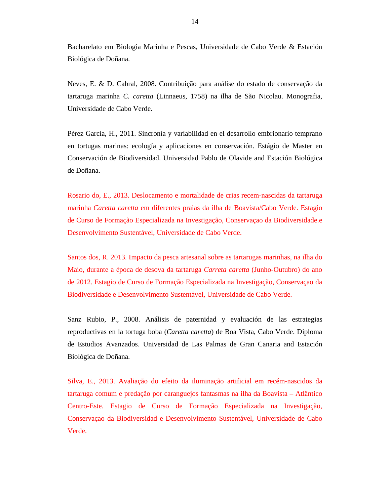Bacharelato em Biologia Marinha e Pescas, Universidade de Cabo Verde & Estación Biológica de Doñana.

Neves, E. & D. Cabral, 2008. Contribuição para análise do estado de conservação da tartaruga marinha *C. caretta* (Linnaeus, 1758) na ilha de São Nicolau. Monografia, Universidade de Cabo Verde.

Pérez García, H., 2011. Sincronía y variabilidad en el desarrollo embrionario temprano en tortugas marinas: ecología y aplicaciones en conservación. Estágio de Master en Conservación de Biodiversidad. Universidad Pablo de Olavide and Estación Biológica de Doñana.

Rosario do, E., 2013. Deslocamento e mortalidade de crias recem-nascidas da tartaruga marinha *Caretta caretta* em diferentes praias da ilha de Boavista/Cabo Verde. Estagio de Curso de Formação Especializada na Investigação, Conservaçao da Biodiversidade.e Desenvolvimento Sustentável, Universidade de Cabo Verde.

Santos dos, R. 2013. Impacto da pesca artesanal sobre as tartarugas marinhas, na ilha do Maio, durante a época de desova da tartaruga *Carreta caretta* (Junho-Outubro) do ano de 2012. Estagio de Curso de Formação Especializada na Investigação, Conservaçao da Biodiversidade e Desenvolvimento Sustentável, Universidade de Cabo Verde.

Sanz Rubio, P., 2008. Análisis de paternidad y evaluación de las estrategias reproductivas en la tortuga boba (*Caretta caretta*) de Boa Vista, Cabo Verde. Diploma de Estudios Avanzados. Universidad de Las Palmas de Gran Canaria and Estación Biológica de Doñana.

Silva, E., 2013. Avaliação do efeito da iluminação artificial em recém-nascidos da tartaruga comum e predação por caranguejos fantasmas na ilha da Boavista – Atlântico Centro-Este. Estagio de Curso de Formação Especializada na Investigação, Conservaçao da Biodiversidad e Desenvolvimento Sustentável, Universidade de Cabo Verde.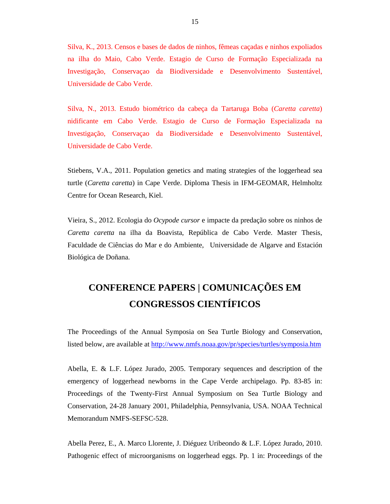Silva, K., 2013. Censos e bases de dados de ninhos, fêmeas caçadas e ninhos expoliados na ilha do Maio, Cabo Verde. Estagio de Curso de Formação Especializada na Investigação, Conservaçao da Biodiversidade e Desenvolvimento Sustentável, Universidade de Cabo Verde.

Silva, N., 2013. Estudo biométrico da cabeça da Tartaruga Boba (*Caretta caretta*) nidificante em Cabo Verde. Estagio de Curso de Formação Especializada na Investigação, Conservaçao da Biodiversidade e Desenvolvimento Sustentável, Universidade de Cabo Verde.

Stiebens, V.A., 2011. Population genetics and mating strategies of the loggerhead sea turtle (*Caretta caretta*) in Cape Verde. Diploma Thesis in IFM-GEOMAR, Helmholtz Centre for Ocean Research, Kiel.

Vieira, S., 2012. Ecologia do *Ocypode cursor* e impacte da predação sobre os ninhos de *Caretta caretta* na ilha da Boavista, República de Cabo Verde. Master Thesis, Faculdade de Ciências do Mar e do Ambiente, Universidade de Algarve and Estación Biológica de Doñana.

## **CONFERENCE PAPERS | COMUNICAÇÕES EM CONGRESSOS CIENTÍFICOS**

The Proceedings of the Annual Symposia on Sea Turtle Biology and Conservation, listed below, are available at http://www.nmfs.noaa.gov/pr/species/turtles/symposia.htm

Abella, E. & L.F. López Jurado, 2005. Temporary sequences and description of the emergency of loggerhead newborns in the Cape Verde archipelago. Pp. 83-85 in: Proceedings of the Twenty-First Annual Symposium on Sea Turtle Biology and Conservation, 24-28 January 2001, Philadelphia, Pennsylvania, USA. NOAA Technical Memorandum NMFS-SEFSC-528.

Abella Perez, E., A. Marco Llorente, J. Diéguez Uribeondo & L.F. López Jurado, 2010. Pathogenic effect of microorganisms on loggerhead eggs. Pp. 1 in: Proceedings of the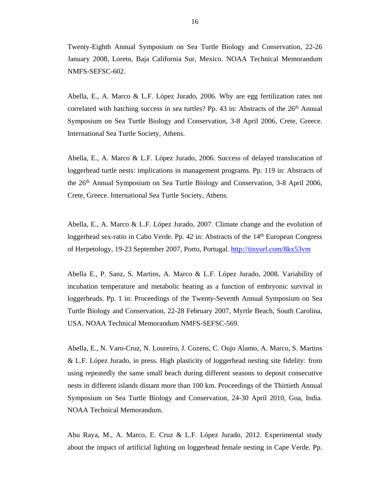Twenty-Eighth Annual Symposium on Sea Turtle Biology and Conservation, 22-26 January 2008, Loreto, Baja California Sur, Mexico. NOAA Technical Memorandum NMFS-SEFSC-602.

Abella, E., A. Marco & L.F. López Jurado, 2006. Why are egg fertilization rates not correlated with hatching success in sea turtles? Pp. 43 in: Abstracts of the  $26<sup>th</sup>$  Annual Symposium on Sea Turtle Biology and Conservation, 3-8 April 2006, Crete, Greece. International Sea Turtle Society, Athens.

Abella, E., A. Marco & L.F. López Jurado, 2006. Success of delayed translocation of loggerhead turtle nests: implications in management programs. Pp. 119 in: Abstracts of the 26th Annual Symposium on Sea Turtle Biology and Conservation, 3-8 April 2006, Crete, Greece. International Sea Turtle Society, Athens.

Abella, E., A. Marco & L.F. López Jurado, 2007. Climate change and the evolution of loggerhead sex-ratio in Cabo Verde. Pp. 42 in: Abstracts of the 14<sup>th</sup> European Congress of Herpetology, 19-23 September 2007, Porto, Portugal. http://tinyurl.com/8kx53vm

Abella E., P. Sanz, S. Martins, A. Marco & L.F. López Jurado, 2008. Variability of incubation temperature and metabolic heating as a function of embryonic survival in loggerheads. Pp. 1 in: Proceedings of the Twenty-Seventh Annual Symposium on Sea Turtle Biology and Conservation, 22-28 February 2007, Myrtle Beach, South Carolina, USA. NOAA Technical Memorandum NMFS-SEFSC-569.

Abella, E., N. Varo-Cruz, N. Loureiro, J. Cozens, C. Oujo Alamo, A. Marco, S. Martins & L.F. López Jurado, in press. High plasticity of loggerhead nesting site fidelity: from using repeatedly the same small beach during different seasons to deposit consecutive nests in different islands distant more than 100 km. Proceedings of the Thirtieth Annual Symposium on Sea Turtle Biology and Conservation, 24-30 April 2010, Goa, India. NOAA Technical Memorandum.

Abu Raya, M., A. Marco, E. Cruz & L.F. López Jurado, 2012. Experimental study about the impact of artificial lighting on loggerhead female nesting in Cape Verde. Pp.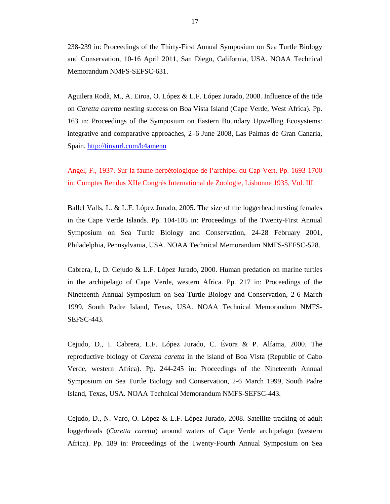238-239 in: Proceedings of the Thirty-First Annual Symposium on Sea Turtle Biology and Conservation, 10-16 April 2011, San Diego, California, USA. NOAA Technical Memorandum NMFS-SEFSC-631.

Aguilera Rodà, M., A. Eiroa, O. López & L.F. López Jurado, 2008. Influence of the tide on *Caretta caretta* nesting success on Boa Vista Island (Cape Verde, West Africa). Pp. 163 in: Proceedings of the Symposium on Eastern Boundary Upwelling Ecosystems: integrative and comparative approaches, 2–6 June 2008, Las Palmas de Gran Canaria, Spain. http://tinyurl.com/b4amenn

Angel, F., 1937. Sur la faune herpétologique de l'archipel du Cap-Vert. Pp. 1693-1700 in: Comptes Rendus XIIe Congrès International de Zoologie, Lisbonne 1935, Vol. III.

Ballel Valls, L. & L.F. López Jurado, 2005. The size of the loggerhead nesting females in the Cape Verde Islands. Pp. 104-105 in: Proceedings of the Twenty-First Annual Symposium on Sea Turtle Biology and Conservation, 24-28 February 2001, Philadelphia, Pennsylvania, USA. NOAA Technical Memorandum NMFS-SEFSC-528.

Cabrera, I., D. Cejudo & L.F. López Jurado, 2000. Human predation on marine turtles in the archipelago of Cape Verde, western Africa. Pp. 217 in: Proceedings of the Nineteenth Annual Symposium on Sea Turtle Biology and Conservation, 2-6 March 1999, South Padre Island, Texas, USA. NOAA Technical Memorandum NMFS-SEFSC-443.

Cejudo, D., I. Cabrera, L.F. López Jurado, C. Évora & P. Alfama, 2000. The reproductive biology of *Caretta caretta* in the island of Boa Vista (Republic of Cabo Verde, western Africa). Pp. 244-245 in: Proceedings of the Nineteenth Annual Symposium on Sea Turtle Biology and Conservation, 2-6 March 1999, South Padre Island, Texas, USA. NOAA Technical Memorandum NMFS-SEFSC-443.

Cejudo, D., N. Varo, O. López & L.F. López Jurado, 2008. Satellite tracking of adult loggerheads (*Caretta caretta*) around waters of Cape Verde archipelago (western Africa). Pp. 189 in: Proceedings of the Twenty-Fourth Annual Symposium on Sea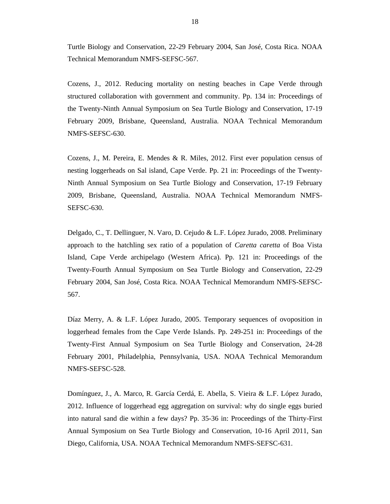Turtle Biology and Conservation, 22-29 February 2004, San José, Costa Rica. NOAA Technical Memorandum NMFS-SEFSC-567.

Cozens, J., 2012. Reducing mortality on nesting beaches in Cape Verde through structured collaboration with government and community. Pp. 134 in: Proceedings of the Twenty-Ninth Annual Symposium on Sea Turtle Biology and Conservation, 17-19 February 2009, Brisbane, Queensland, Australia. NOAA Technical Memorandum NMFS-SEFSC-630.

Cozens, J., M. Pereira, E. Mendes & R. Miles, 2012. First ever population census of nesting loggerheads on Sal island, Cape Verde. Pp. 21 in: Proceedings of the Twenty-Ninth Annual Symposium on Sea Turtle Biology and Conservation, 17-19 February 2009, Brisbane, Queensland, Australia. NOAA Technical Memorandum NMFS-SEFSC-630.

Delgado, C., T. Dellinguer, N. Varo, D. Cejudo & L.F. López Jurado, 2008. Preliminary approach to the hatchling sex ratio of a population of *Caretta caretta* of Boa Vista Island, Cape Verde archipelago (Western Africa). Pp. 121 in: Proceedings of the Twenty-Fourth Annual Symposium on Sea Turtle Biology and Conservation, 22-29 February 2004, San José, Costa Rica. NOAA Technical Memorandum NMFS-SEFSC-567.

Díaz Merry, A. & L.F. López Jurado, 2005. Temporary sequences of ovoposition in loggerhead females from the Cape Verde Islands. Pp. 249-251 in: Proceedings of the Twenty-First Annual Symposium on Sea Turtle Biology and Conservation, 24-28 February 2001, Philadelphia, Pennsylvania, USA. NOAA Technical Memorandum NMFS-SEFSC-528.

Domínguez, J., A. Marco, R. García Cerdá, E. Abella, S. Vieira & L.F. López Jurado, 2012. Influence of loggerhead egg aggregation on survival: why do single eggs buried into natural sand die within a few days? Pp. 35-36 in: Proceedings of the Thirty-First Annual Symposium on Sea Turtle Biology and Conservation, 10-16 April 2011, San Diego, California, USA. NOAA Technical Memorandum NMFS-SEFSC-631.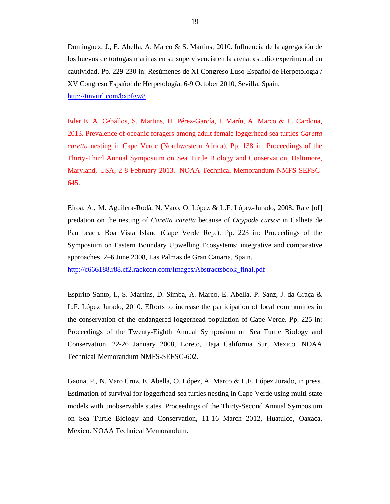Dominguez, J., E. Abella, A. Marco & S. Martins, 2010. Influencia de la agregación de los huevos de tortugas marinas en su supervivencia en la arena: estudio experimental en cautividad. Pp. 229-230 in: Resúmenes de XI Congreso Luso-Español de Herpetología / XV Congreso Español de Herpetología, 6-9 October 2010, Sevilla, Spain. http://tinyurl.com/bxpfgw8

Eder E, A. Ceballos, S. Martins, H. Pérez-García, I. Marín, A. Marco & L. Cardona, 2013. Prevalence of oceanic foragers among adult female loggerhead sea turtles *Caretta caretta* nesting in Cape Verde (Northwestern Africa). Pp. 138 in: Proceedings of the Thirty-Third Annual Symposium on Sea Turtle Biology and Conservation, Baltimore, Maryland, USA, 2-8 February 2013. NOAA Technical Memorandum NMFS-SEFSC-645.

Eiroa, A., M. Aguilera-Rodà, N. Varo, O. López & L.F. López-Jurado, 2008. Rate [of] predation on the nesting of *Caretta caretta* because of *Ocypode cursor* in Calheta de Pau beach, Boa Vista Island (Cape Verde Rep.). Pp. 223 in: Proceedings of the Symposium on Eastern Boundary Upwelling Ecosystems: integrative and comparative approaches, 2–6 June 2008, Las Palmas de Gran Canaria, Spain.

http://c666188.r88.cf2.rackcdn.com/Images/Abstractsbook\_final.pdf

Espírito Santo, I., S. Martins, D. Simba, A. Marco, E. Abella, P. Sanz, J. da Graça & L.F. López Jurado, 2010. Efforts to increase the participation of local communities in the conservation of the endangered loggerhead population of Cape Verde. Pp. 225 in: Proceedings of the Twenty-Eighth Annual Symposium on Sea Turtle Biology and Conservation, 22-26 January 2008, Loreto, Baja California Sur, Mexico. NOAA Technical Memorandum NMFS-SEFSC-602.

Gaona, P., N. Varo Cruz, E. Abella, O. López, A. Marco & L.F. López Jurado, in press. Estimation of survival for loggerhead sea turtles nesting in Cape Verde using multi-state models with unobservable states. Proceedings of the Thirty-Second Annual Symposium on Sea Turtle Biology and Conservation, 11-16 March 2012, Huatulco, Oaxaca, Mexico. NOAA Technical Memorandum.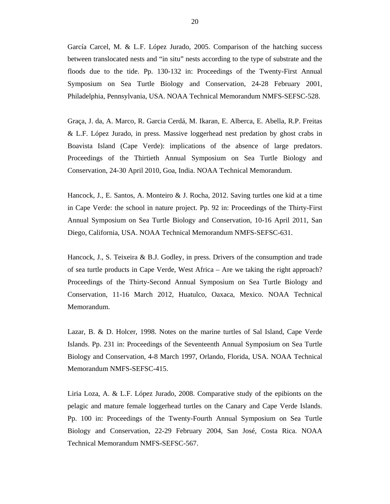García Carcel, M. & L.F. López Jurado, 2005. Comparison of the hatching success between translocated nests and "in situ" nests according to the type of substrate and the floods due to the tide. Pp. 130-132 in: Proceedings of the Twenty-First Annual Symposium on Sea Turtle Biology and Conservation, 24-28 February 2001, Philadelphia, Pennsylvania, USA. NOAA Technical Memorandum NMFS-SEFSC-528.

Graça, J. da, A. Marco, R. Garcia Cerdá, M. Ikaran, E. Alberca, E. Abella, R.P. Freitas & L.F. López Jurado, in press. Massive loggerhead nest predation by ghost crabs in Boavista Island (Cape Verde): implications of the absence of large predators. Proceedings of the Thirtieth Annual Symposium on Sea Turtle Biology and Conservation, 24-30 April 2010, Goa, India. NOAA Technical Memorandum.

Hancock, J., E. Santos, A. Monteiro & J. Rocha, 2012. Saving turtles one kid at a time in Cape Verde: the school in nature project. Pp. 92 in: Proceedings of the Thirty-First Annual Symposium on Sea Turtle Biology and Conservation, 10-16 April 2011, San Diego, California, USA. NOAA Technical Memorandum NMFS-SEFSC-631.

Hancock, J., S. Teixeira & B.J. Godley, in press. Drivers of the consumption and trade of sea turtle products in Cape Verde, West Africa – Are we taking the right approach? Proceedings of the Thirty-Second Annual Symposium on Sea Turtle Biology and Conservation, 11-16 March 2012, Huatulco, Oaxaca, Mexico. NOAA Technical Memorandum.

Lazar, B. & D. Holcer, 1998. Notes on the marine turtles of Sal Island, Cape Verde Islands. Pp. 231 in: Proceedings of the Seventeenth Annual Symposium on Sea Turtle Biology and Conservation, 4-8 March 1997, Orlando, Florida, USA. NOAA Technical Memorandum NMFS-SEFSC-415.

Liria Loza, A. & L.F. López Jurado, 2008. Comparative study of the epibionts on the pelagic and mature female loggerhead turtles on the Canary and Cape Verde Islands. Pp. 100 in: Proceedings of the Twenty-Fourth Annual Symposium on Sea Turtle Biology and Conservation, 22-29 February 2004, San José, Costa Rica. NOAA Technical Memorandum NMFS-SEFSC-567.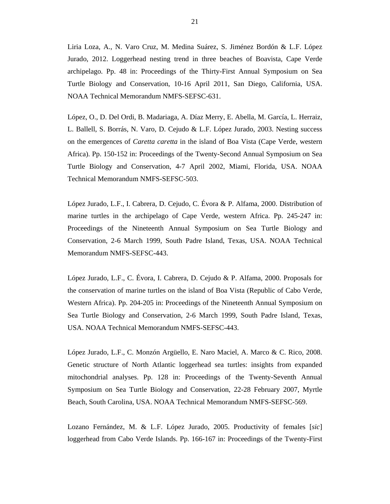Liria Loza, A., N. Varo Cruz, M. Medina Suárez, S. Jiménez Bordón & L.F. López Jurado, 2012. Loggerhead nesting trend in three beaches of Boavista, Cape Verde archipelago. Pp. 48 in: Proceedings of the Thirty-First Annual Symposium on Sea Turtle Biology and Conservation, 10-16 April 2011, San Diego, California, USA. NOAA Technical Memorandum NMFS-SEFSC-631.

López, O., D. Del Ordi, B. Madariaga, A. Díaz Merry, E. Abella, M. García, L. Herraiz, L. Ballell, S. Borrás, N. Varo, D. Cejudo & L.F. López Jurado, 2003. Nesting success on the emergences of *Caretta caretta* in the island of Boa Vista (Cape Verde, western Africa). Pp. 150-152 in: Proceedings of the Twenty-Second Annual Symposium on Sea Turtle Biology and Conservation, 4-7 April 2002, Miami, Florida, USA. NOAA Technical Memorandum NMFS-SEFSC-503.

López Jurado, L.F., I. Cabrera, D. Cejudo, C. Évora & P. Alfama, 2000. Distribution of marine turtles in the archipelago of Cape Verde, western Africa. Pp. 245-247 in: Proceedings of the Nineteenth Annual Symposium on Sea Turtle Biology and Conservation, 2-6 March 1999, South Padre Island, Texas, USA. NOAA Technical Memorandum NMFS-SEFSC-443.

López Jurado, L.F., C. Évora, I. Cabrera, D. Cejudo & P. Alfama, 2000. Proposals for the conservation of marine turtles on the island of Boa Vista (Republic of Cabo Verde, Western Africa). Pp. 204-205 in: Proceedings of the Nineteenth Annual Symposium on Sea Turtle Biology and Conservation, 2-6 March 1999, South Padre Island, Texas, USA. NOAA Technical Memorandum NMFS-SEFSC-443.

López Jurado, L.F., C. Monzón Argüello, E. Naro Maciel, A. Marco & C. Rico, 2008. Genetic structure of North Atlantic loggerhead sea turtles: insights from expanded mitochondrial analyses. Pp. 128 in: Proceedings of the Twenty-Seventh Annual Symposium on Sea Turtle Biology and Conservation, 22-28 February 2007, Myrtle Beach, South Carolina, USA. NOAA Technical Memorandum NMFS-SEFSC-569.

Lozano Fernández, M. & L.F. López Jurado, 2005. Productivity of females [*sic*] loggerhead from Cabo Verde Islands. Pp. 166-167 in: Proceedings of the Twenty-First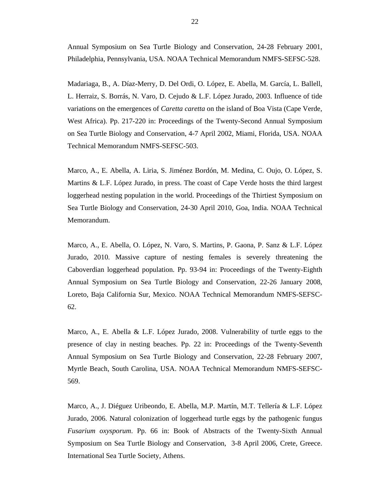Annual Symposium on Sea Turtle Biology and Conservation, 24-28 February 2001, Philadelphia, Pennsylvania, USA. NOAA Technical Memorandum NMFS-SEFSC-528.

Madariaga, B., A. Díaz-Merry, D. Del Ordi, O. López, E. Abella, M. García, L. Ballell, L. Herraiz, S. Borrás, N. Varo, D. Cejudo & L.F. López Jurado, 2003. Influence of tide variations on the emergences of *Caretta caretta* on the island of Boa Vista (Cape Verde, West Africa). Pp. 217-220 in: Proceedings of the Twenty-Second Annual Symposium on Sea Turtle Biology and Conservation, 4-7 April 2002, Miami, Florida, USA. NOAA Technical Memorandum NMFS-SEFSC-503.

Marco, A., E. Abella, A. Liria, S. Jiménez Bordón, M. Medina, C. Oujo, O. López, S. Martins & L.F. López Jurado, in press. The coast of Cape Verde hosts the third largest loggerhead nesting population in the world. Proceedings of the Thirtiest Symposium on Sea Turtle Biology and Conservation, 24-30 April 2010, Goa, India. NOAA Technical Memorandum.

Marco, A., E. Abella, O. López, N. Varo, S. Martins, P. Gaona, P. Sanz & L.F. López Jurado, 2010. Massive capture of nesting females is severely threatening the Caboverdian loggerhead population. Pp. 93-94 in: Proceedings of the Twenty-Eighth Annual Symposium on Sea Turtle Biology and Conservation, 22-26 January 2008, Loreto, Baja California Sur, Mexico. NOAA Technical Memorandum NMFS-SEFSC-62.

Marco, A., E. Abella & L.F. López Jurado, 2008. Vulnerability of turtle eggs to the presence of clay in nesting beaches. Pp. 22 in: Proceedings of the Twenty-Seventh Annual Symposium on Sea Turtle Biology and Conservation, 22-28 February 2007, Myrtle Beach, South Carolina, USA. NOAA Technical Memorandum NMFS-SEFSC-569.

Marco, A., J. Diéguez Uribeondo, E. Abella, M.P. Martín, M.T. Tellería & L.F. López Jurado, 2006. Natural colonization of loggerhead turtle eggs by the pathogenic fungus *Fusarium oxysporum*. Pp. 66 in: Book of Abstracts of the Twenty-Sixth Annual Symposium on Sea Turtle Biology and Conservation, 3-8 April 2006, Crete, Greece. International Sea Turtle Society, Athens.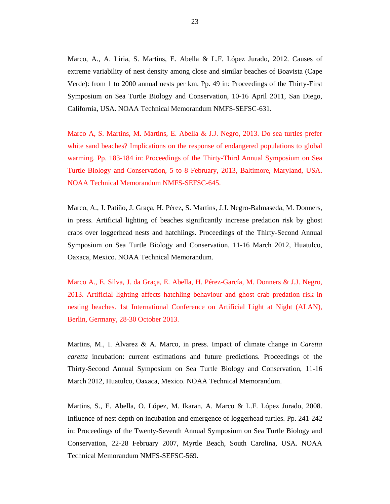Marco, A., A. Liria, S. Martins, E. Abella & L.F. López Jurado, 2012. Causes of extreme variability of nest density among close and similar beaches of Boavista (Cape Verde): from 1 to 2000 annual nests per km. Pp. 49 in: Proceedings of the Thirty-First Symposium on Sea Turtle Biology and Conservation, 10-16 April 2011, San Diego, California, USA. NOAA Technical Memorandum NMFS-SEFSC-631.

Marco A, S. Martins, M. Martins, E. Abella & J.J. Negro, 2013. Do sea turtles prefer white sand beaches? Implications on the response of endangered populations to global warming. Pp. 183-184 in: Proceedings of the Thirty-Third Annual Symposium on Sea Turtle Biology and Conservation, 5 to 8 February, 2013, Baltimore, Maryland, USA. NOAA Technical Memorandum NMFS-SEFSC-645.

Marco, A., J. Patiño, J. Graça, H. Pérez, S. Martins, J.J. Negro-Balmaseda, M. Donners, in press. Artificial lighting of beaches significantly increase predation risk by ghost crabs over loggerhead nests and hatchlings. Proceedings of the Thirty-Second Annual Symposium on Sea Turtle Biology and Conservation, 11-16 March 2012, Huatulco, Oaxaca, Mexico. NOAA Technical Memorandum.

Marco A., E. Silva, J. da Graça, E. Abella, H. Pérez-García, M. Donners & J.J. Negro, 2013. Artificial lighting affects hatchling behaviour and ghost crab predation risk in nesting beaches. 1st International Conference on Artificial Light at Night (ALAN), Berlin, Germany, 28-30 October 2013.

Martins, M., I. Alvarez & A. Marco, in press. Impact of climate change in *Caretta caretta* incubation: current estimations and future predictions. Proceedings of the Thirty-Second Annual Symposium on Sea Turtle Biology and Conservation, 11-16 March 2012, Huatulco, Oaxaca, Mexico. NOAA Technical Memorandum.

Martins, S., E. Abella, O. López, M. Ikaran, A. Marco & L.F. López Jurado, 2008. Influence of nest depth on incubation and emergence of loggerhead turtles. Pp. 241-242 in: Proceedings of the Twenty-Seventh Annual Symposium on Sea Turtle Biology and Conservation, 22-28 February 2007, Myrtle Beach, South Carolina, USA. NOAA Technical Memorandum NMFS-SEFSC-569.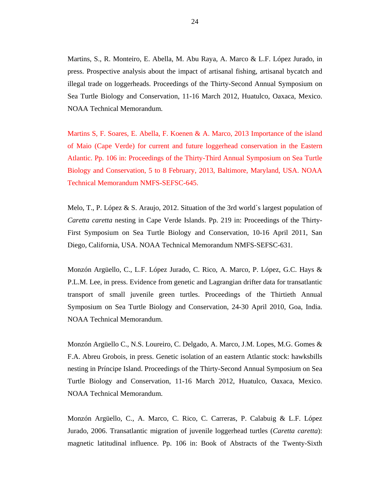Martins, S., R. Monteiro, E. Abella, M. Abu Raya, A. Marco & L.F. López Jurado, in press. Prospective analysis about the impact of artisanal fishing, artisanal bycatch and illegal trade on loggerheads. Proceedings of the Thirty-Second Annual Symposium on Sea Turtle Biology and Conservation, 11-16 March 2012, Huatulco, Oaxaca, Mexico. NOAA Technical Memorandum.

Martins S, F. Soares, E. Abella, F. Koenen & A. Marco, 2013 Importance of the island of Maio (Cape Verde) for current and future loggerhead conservation in the Eastern Atlantic. Pp. 106 in: Proceedings of the Thirty-Third Annual Symposium on Sea Turtle Biology and Conservation, 5 to 8 February, 2013, Baltimore, Maryland, USA. NOAA Technical Memorandum NMFS-SEFSC-645.

Melo, T., P. López & S. Araujo, 2012. Situation of the 3rd world`s largest population of *Caretta caretta* nesting in Cape Verde Islands. Pp. 219 in: Proceedings of the Thirty-First Symposium on Sea Turtle Biology and Conservation, 10-16 April 2011, San Diego, California, USA. NOAA Technical Memorandum NMFS-SEFSC-631.

Monzón Argüello, C., L.F. López Jurado, C. Rico, A. Marco, P. López, G.C. Hays & P.L.M. Lee, in press. Evidence from genetic and Lagrangian drifter data for transatlantic transport of small juvenile green turtles. Proceedings of the Thirtieth Annual Symposium on Sea Turtle Biology and Conservation, 24-30 April 2010, Goa, India. NOAA Technical Memorandum.

Monzón Argüello C., N.S. Loureiro, C. Delgado, A. Marco, J.M. Lopes, M.G. Gomes & F.A. Abreu Grobois, in press. Genetic isolation of an eastern Atlantic stock: hawksbills nesting in Príncipe Island. Proceedings of the Thirty-Second Annual Symposium on Sea Turtle Biology and Conservation, 11-16 March 2012, Huatulco, Oaxaca, Mexico. NOAA Technical Memorandum.

Monzón Argüello, C., A. Marco, C. Rico, C. Carreras, P. Calabuig & L.F. López Jurado, 2006. Transatlantic migration of juvenile loggerhead turtles (*Caretta caretta*): magnetic latitudinal influence. Pp. 106 in: Book of Abstracts of the Twenty-Sixth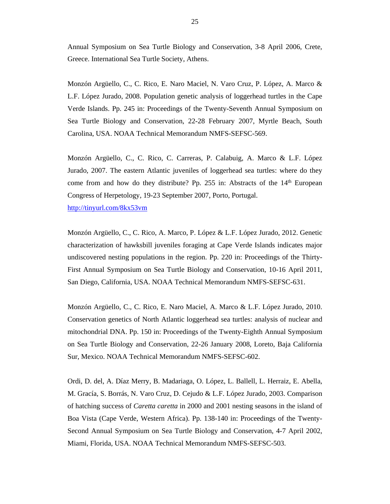Annual Symposium on Sea Turtle Biology and Conservation, 3-8 April 2006, Crete, Greece. International Sea Turtle Society, Athens.

Monzón Argüello, C., C. Rico, E. Naro Maciel, N. Varo Cruz, P. López, A. Marco & L.F. López Jurado, 2008. Population genetic analysis of loggerhead turtles in the Cape Verde Islands. Pp. 245 in: Proceedings of the Twenty-Seventh Annual Symposium on Sea Turtle Biology and Conservation, 22-28 February 2007, Myrtle Beach, South Carolina, USA. NOAA Technical Memorandum NMFS-SEFSC-569.

Monzón Argüello, C., C. Rico, C. Carreras, P. Calabuig, A. Marco & L.F. López Jurado, 2007. The eastern Atlantic juveniles of loggerhead sea turtles: where do they come from and how do they distribute? Pp. 255 in: Abstracts of the  $14<sup>th</sup>$  European Congress of Herpetology, 19-23 September 2007, Porto, Portugal.

http://tinyurl.com/8kx53vm

Monzón Argüello, C., C. Rico, A. Marco, P. López & L.F. López Jurado, 2012. Genetic characterization of hawksbill juveniles foraging at Cape Verde Islands indicates major undiscovered nesting populations in the region. Pp. 220 in: Proceedings of the Thirty-First Annual Symposium on Sea Turtle Biology and Conservation, 10-16 April 2011, San Diego, California, USA. NOAA Technical Memorandum NMFS-SEFSC-631.

Monzón Argüello, C., C. Rico, E. Naro Maciel, A. Marco & L.F. López Jurado, 2010. Conservation genetics of North Atlantic loggerhead sea turtles: analysis of nuclear and mitochondrial DNA. Pp. 150 in: Proceedings of the Twenty-Eighth Annual Symposium on Sea Turtle Biology and Conservation, 22-26 January 2008, Loreto, Baja California Sur, Mexico. NOAA Technical Memorandum NMFS-SEFSC-602.

Ordi, D. del, A. Díaz Merry, B. Madariaga, O. López, L. Ballell, L. Herraiz, E. Abella, M. Gracía, S. Borrás, N. Varo Cruz, D. Cejudo & L.F. López Jurado, 2003. Comparison of hatching success of *Caretta caretta* in 2000 and 2001 nesting seasons in the island of Boa Vista (Cape Verde, Western Africa). Pp. 138-140 in: Proceedings of the Twenty-Second Annual Symposium on Sea Turtle Biology and Conservation, 4-7 April 2002, Miami, Florida, USA. NOAA Technical Memorandum NMFS-SEFSC-503.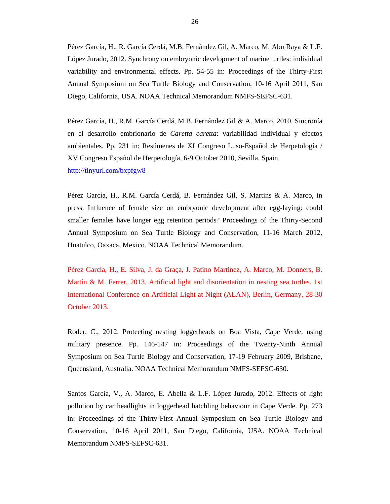Pérez García, H., R. García Cerdá, M.B. Fernández Gil, A. Marco, M. Abu Raya & L.F. López Jurado, 2012. Synchrony on embryonic development of marine turtles: individual variability and environmental effects. Pp. 54-55 in: Proceedings of the Thirty-First Annual Symposium on Sea Turtle Biology and Conservation, 10-16 April 2011, San Diego, California, USA. NOAA Technical Memorandum NMFS-SEFSC-631.

Pérez García, H., R.M. García Cerdá, M.B. Fernández Gil & A. Marco, 2010. Sincronía en el desarrollo embrionario de *Caretta caretta*: variabilidad individual y efectos ambientales. Pp. 231 in: Resúmenes de XI Congreso Luso-Español de Herpetología / XV Congreso Español de Herpetología, 6-9 October 2010, Sevilla, Spain. http://tinyurl.com/bxpfgw8

Pérez García, H., R.M. García Cerdá, B. Fernández Gil, S. Martins & A. Marco, in press. Influence of female size on embryonic development after egg-laying: could smaller females have longer egg retention periods? Proceedings of the Thirty-Second Annual Symposium on Sea Turtle Biology and Conservation, 11-16 March 2012, Huatulco, Oaxaca, Mexico. NOAA Technical Memorandum.

Pérez García, H., E. Silva, J. da Graça, J. Patino Martinez, A. Marco, M. Donners, B. Martín & M. Ferrer, 2013. Artificial light and disorientation in nesting sea turtles. 1st International Conference on Artificial Light at Night (ALAN), Berlin, Germany, 28-30 October 2013.

Roder, C., 2012. Protecting nesting loggerheads on Boa Vista, Cape Verde, using military presence. Pp. 146-147 in: Proceedings of the Twenty-Ninth Annual Symposium on Sea Turtle Biology and Conservation, 17-19 February 2009, Brisbane, Queensland, Australia. NOAA Technical Memorandum NMFS-SEFSC-630.

Santos García, V., A. Marco, E. Abella & L.F. López Jurado, 2012. Effects of light pollution by car headlights in loggerhead hatchling behaviour in Cape Verde. Pp. 273 in: Proceedings of the Thirty-First Annual Symposium on Sea Turtle Biology and Conservation, 10-16 April 2011, San Diego, California, USA. NOAA Technical Memorandum NMFS-SEFSC-631.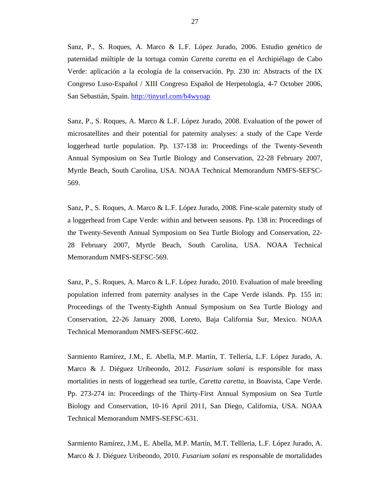Sanz, P., S. Roques, A. Marco & L.F. López Jurado, 2006. Estudio genético de paternidad múltiple de la tortuga común *Caretta caretta* en el Archipiélago de Cabo Verde: aplicación a la ecología de la conservación. Pp. 230 in: Abstracts of the IX Congreso Luso-Español / XIII Congreso Español de Herpetología, 4-7 October 2006, San Sebastián, Spain. http://tinyurl.com/b4wyoap

Sanz, P., S. Roques, A. Marco & L.F. López Jurado, 2008. Evaluation of the power of microsatellites and their potential for paternity analyses: a study of the Cape Verde loggerhead turtle population. Pp. 137-138 in: Proceedings of the Twenty-Seventh Annual Symposium on Sea Turtle Biology and Conservation, 22-28 February 2007, Myrtle Beach, South Carolina, USA. NOAA Technical Memorandum NMFS-SEFSC-569.

Sanz, P., S. Roques, A. Marco & L.F. López Jurado, 2008. Fine-scale paternity study of a loggerhead from Cape Verde: within and between seasons. Pp. 138 in: Proceedings of the Twenty-Seventh Annual Symposium on Sea Turtle Biology and Conservation, 22- 28 February 2007, Myrtle Beach, South Carolina, USA. NOAA Technical Memorandum NMFS-SEFSC-569.

Sanz, P., S. Roques, A. Marco & L.F. López Jurado, 2010. Evaluation of male breeding population inferred from paternity analyses in the Cape Verde islands. Pp. 155 in: Proceedings of the Twenty-Eighth Annual Symposium on Sea Turtle Biology and Conservation, 22-26 January 2008, Loreto, Baja California Sur, Mexico. NOAA Technical Memorandum NMFS-SEFSC-602.

Sarmiento Ramírez, J.M., E. Abella, M.P. Martín, T. Tellería, L.F. López Jurado, A. Marco & J. Diéguez Uribeondo, 2012. *Fusarium solani* is responsible for mass mortalities in nests of loggerhead sea turtle, *Caretta caretta*, in Boavista, Cape Verde. Pp. 273-274 in: Proceedings of the Thirty-First Annual Symposium on Sea Turtle Biology and Conservation, 10-16 April 2011, San Diego, California, USA. NOAA Technical Memorandum NMFS-SEFSC-631.

Sarmiento Ramírez, J.M., E. Abella, M.P. Martín, M.T. Tellleria, L.F. López Jurado, A. Marco & J. Diéguez Uribeondo, 2010. *Fusarium solani* es responsable de mortalidades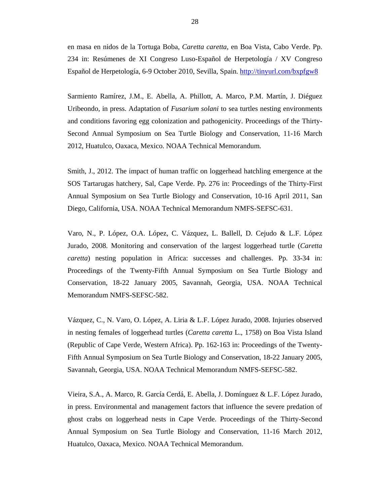en masa en nidos de la Tortuga Boba, *Caretta caretta*, en Boa Vista, Cabo Verde. Pp. 234 in: Resúmenes de XI Congreso Luso-Español de Herpetología / XV Congreso Español de Herpetología, 6-9 October 2010, Sevilla, Spain. http://tinyurl.com/bxpfgw8

Sarmiento Ramírez, J.M., E. Abella, A. Phillott, A. Marco, P.M. Martín, J. Diéguez Uribeondo, in press. Adaptation of *Fusarium solani* to sea turtles nesting environments and conditions favoring egg colonization and pathogenicity. Proceedings of the Thirty-Second Annual Symposium on Sea Turtle Biology and Conservation, 11-16 March 2012, Huatulco, Oaxaca, Mexico. NOAA Technical Memorandum.

Smith, J., 2012. The impact of human traffic on loggerhead hatchling emergence at the SOS Tartarugas hatchery, Sal, Cape Verde. Pp. 276 in: Proceedings of the Thirty-First Annual Symposium on Sea Turtle Biology and Conservation, 10-16 April 2011, San Diego, California, USA. NOAA Technical Memorandum NMFS-SEFSC-631.

Varo, N., P. López, O.A. López, C. Vázquez, L. Ballell, D. Cejudo & L.F. López Jurado, 2008. Monitoring and conservation of the largest loggerhead turtle (*Caretta caretta*) nesting population in Africa: successes and challenges. Pp. 33-34 in: Proceedings of the Twenty-Fifth Annual Symposium on Sea Turtle Biology and Conservation, 18-22 January 2005, Savannah, Georgia, USA. NOAA Technical Memorandum NMFS-SEFSC-582.

Vázquez, C., N. Varo, O. López, A. Liria & L.F. López Jurado, 2008. Injuries observed in nesting females of loggerhead turtles (*Caretta caretta* L., 1758) on Boa Vista Island (Republic of Cape Verde, Western Africa). Pp. 162-163 in: Proceedings of the Twenty-Fifth Annual Symposium on Sea Turtle Biology and Conservation, 18-22 January 2005, Savannah, Georgia, USA. NOAA Technical Memorandum NMFS-SEFSC-582.

Vieira, S.A., A. Marco, R. García Cerdá, E. Abella, J. Domínguez & L.F. López Jurado, in press. Environmental and management factors that influence the severe predation of ghost crabs on loggerhead nests in Cape Verde. Proceedings of the Thirty-Second Annual Symposium on Sea Turtle Biology and Conservation, 11-16 March 2012, Huatulco, Oaxaca, Mexico. NOAA Technical Memorandum.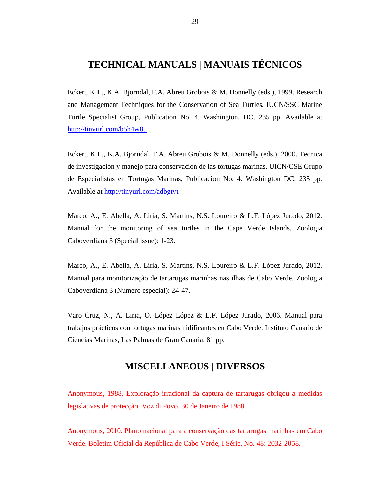## **TECHNICAL MANUALS | MANUAIS TÉCNICOS**

Eckert, K.L., K.A. Bjorndal, F.A. Abreu Grobois & M. Donnelly (eds.), 1999. Research and Management Techniques for the Conservation of Sea Turtles*.* IUCN/SSC Marine Turtle Specialist Group, Publication No. 4. Washington, DC. 235 pp. Available at http://tinyurl.com/b5h4w8u

Eckert, K.L., K.A. Bjorndal, F.A. Abreu Grobois & M. Donnelly (eds.), 2000. Tecnica de investigación y manejo para conservacion de las tortugas marinas. UICN/CSE Grupo de Especialistas en Tortugas Marinas, Publicacion No. 4. Washington DC. 235 pp. Available at http://tinyurl.com/adbgtvt

Marco, A., E. Abella, A. Liria, S. Martins, N.S. Loureiro & L.F. López Jurado, 2012. Manual for the monitoring of sea turtles in the Cape Verde Islands. Zoologia Caboverdiana 3 (Special issue): 1-23.

Marco, A., E. Abella, A. Liria, S. Martins, N.S. Loureiro & L.F. López Jurado, 2012. Manual para monitorização de tartarugas marinhas nas ilhas de Cabo Verde. Zoologia Caboverdiana 3 (Número especial): 24-47.

Varo Cruz, N., A. Liria, O. López López & L.F. López Jurado, 2006. Manual para trabajos prácticos con tortugas marinas nidificantes en Cabo Verde. Instituto Canario de Ciencias Marinas, Las Palmas de Gran Canaria. 81 pp.

#### **MISCELLANEOUS | DIVERSOS**

Anonymous, 1988. Exploração irracional da captura de tartarugas obrigou a medidas legislativas de protecção. Voz di Povo, 30 de Janeiro de 1988.

Anonymous, 2010. Plano nacional para a conservação das tartarugas marinhas em Cabo Verde. Boletim Oficial da República de Cabo Verde, I Série, No. 48: 2032-2058.